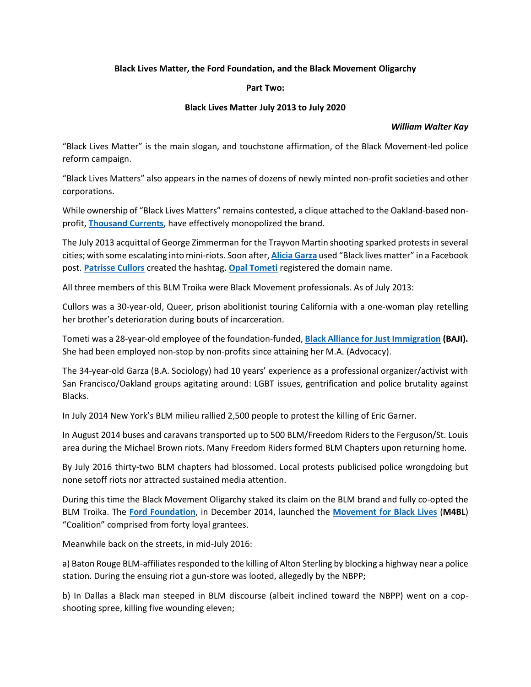## **Black Lives Matter, the Ford Foundation, and the Black Movement Oligarchy**

## **Part Two:**

## **Black Lives Matter July 2013 to July 2020**

## *William Walter Kay*

"Black Lives Matter" is the main slogan, and touchstone affirmation, of the Black Movement-led police reform campaign.

"Black Lives Matters" also appears in the names of dozens of newly minted non-profit societies and other corporations.

While ownership of "Black Lives Matters" remains contested, a clique attached to the Oakland-based nonprofit, **[Thousand Currents](https://thousandcurrents.org/)**, have effectively monopolized the brand.

The July 2013 acquittal of George Zimmerman for the Trayvon Martin shooting sparked protests in several cities; with some escalating into mini-riots. Soon after, **[Alicia Garza](https://aliciagarza.com/)** used "Black lives matter" in a Facebook post. **[Patrisse Cullors](https://patrissecullors.com/)** created the hashtag. **[Opal Tometi](https://www.opaltometi.org/)** registered the domain name.

All three members of this BLM Troika were Black Movement professionals. As of July 2013:

Cullors was a 30-year-old, Queer, prison abolitionist touring California with a one-woman play retelling her brother's deterioration during bouts of incarceration.

Tometi was a 28-year-old employee of the foundation-funded, **[Black Alliance for Just Immigration](https://baji.org/) (BAJI).** She had been employed non-stop by non-profits since attaining her M.A. (Advocacy).

The 34-year-old Garza (B.A. Sociology) had 10 years' experience as a professional organizer/activist with San Francisco/Oakland groups agitating around: LGBT issues, gentrification and police brutality against Blacks.

In July 2014 New York's BLM milieu rallied 2,500 people to protest the killing of Eric Garner.

In August 2014 buses and caravans transported up to 500 BLM/Freedom Riders to the Ferguson/St. Louis area during the Michael Brown riots. Many Freedom Riders formed BLM Chapters upon returning home.

By July 2016 thirty-two BLM chapters had blossomed. Local protests publicised police wrongdoing but none setoff riots nor attracted sustained media attention.

During this time the Black Movement Oligarchy staked its claim on the BLM brand and fully co-opted the BLM Troika. The **[Ford Foundation](https://www.fordfoundation.org/)**, in December 2014, launched the **[Movement for Black Lives](https://m4bl.org/)** (**M4BL**) "Coalition" comprised from forty loyal grantees.

Meanwhile back on the streets, in mid-July 2016:

a) Baton Rouge BLM-affiliates responded to the killing of Alton Sterling by blocking a highway near a police station. During the ensuing riot a gun-store was looted, allegedly by the NBPP;

b) In Dallas a Black man steeped in BLM discourse (albeit inclined toward the NBPP) went on a copshooting spree, killing five wounding eleven;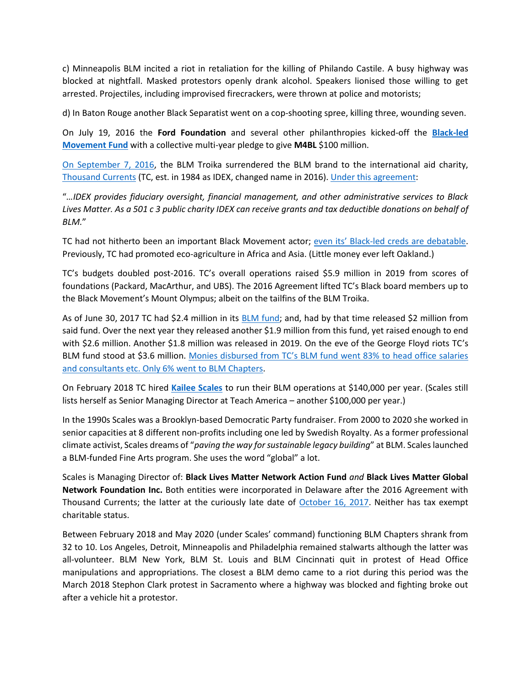c) Minneapolis BLM incited a riot in retaliation for the killing of Philando Castile. A busy highway was blocked at nightfall. Masked protestors openly drank alcohol. Speakers lionised those willing to get arrested. Projectiles, including improvised firecrackers, were thrown at police and motorists;

d) In Baton Rouge another Black Separatist went on a cop-shooting spree, killing three, wounding seven.

On July 19, 2016 the **Ford Foundation** and several other philanthropies kicked-off the **[Black-led](https://borealisphilanthropy.org/grantmaking/black-led-movement-fund/)  [Movement Fund](https://borealisphilanthropy.org/grantmaking/black-led-movement-fund/)** with a collective multi-year pledge to give **M4BL** \$100 million.

[On September 7, 2016,](https://www.pr.com/press-release/686434) the BLM Troika surrendered the BLM brand to the international aid charity, [Thousand Currents](https://thousandcurrents.org/) (TC, est. in 1984 as IDEX, changed name in 2016). [Under this agreement:](https://thousandcurrents.org/idex-and-black-lives-matter-announce-global-partnership/)

"*…IDEX provides fiduciary oversight, financial management, and other administrative services to Black Lives Matter. As a 501 c 3 public charity IDEX can receive grants and tax deductible donations on behalf of BLM.*"

TC had not hitherto been an important Black Movement actor; even its' [Black-led creds are debatable.](https://web.archive.org/web/20200616222408/https:/thousandcurrents.org/board-of-directors/) Previously, TC had promoted eco-agriculture in Africa and Asia. (Little money ever left Oakland.)

TC's budgets doubled post-2016. TC's overall operations raised \$5.9 million in 2019 from scores of foundations (Packard, MacArthur, and UBS). The 2016 Agreement lifted TC's Black board members up to the Black Movement's Mount Olympus; albeit on the tailfins of the BLM Troika.

As of June 30, 2017 TC had \$2.4 million in its [BLM fund;](https://www.influencewatch.org/app/uploads/2020/07/Thousand-Currents-Audit-2019.pdf) and, had by that time released \$2 million from said fund. Over the next year they released another \$1.9 million from this fund, yet raised enough to end with \$2.6 million. Another \$1.8 million was released in 2019. On the eve of the George Floyd riots TC's BLM fund stood at \$3.6 million. [Monies disbursed from TC's BLM fund went 83% to head office salaries](https://dailycaller.com/2020/06/18/black-lives-matter-spending-millions-travel-consultants/)  [and consultants etc. Only 6% went to BLM Chapters.](https://dailycaller.com/2020/06/18/black-lives-matter-spending-millions-travel-consultants/)

On February 2018 TC hired **[Kailee Scales](https://www.facebook.com/kailee.scales)** to run their BLM operations at \$140,000 per year. (Scales still lists herself as Senior Managing Director at Teach America – another \$100,000 per year.)

In the 1990s Scales was a Brooklyn-based Democratic Party fundraiser. From 2000 to 2020 she worked in senior capacities at 8 different non-profits including one led by Swedish Royalty. As a former professional climate activist, Scales dreams of "*paving the way for sustainable legacy building*" at BLM. Scales launched a BLM-funded Fine Arts program. She uses the word "global" a lot.

Scales is Managing Director of: **Black Lives Matter Network Action Fund** *and* **Black Lives Matter Global Network Foundation Inc.** Both entities were incorporated in Delaware after the 2016 Agreement with Thousand Currents; the latter at the curiously late date of [October 16, 2017.](https://icis.corp.delaware.gov/Ecorp/EntitySearch/NameSearch.aspx) Neither has tax exempt charitable status.

Between February 2018 and May 2020 (under Scales' command) functioning BLM Chapters shrank from 32 to 10. Los Angeles, Detroit, Minneapolis and Philadelphia remained stalwarts although the latter was all-volunteer. BLM New York, BLM St. Louis and BLM Cincinnati quit in protest of Head Office manipulations and appropriations. The closest a BLM demo came to a riot during this period was the March 2018 Stephon Clark protest in Sacramento where a highway was blocked and fighting broke out after a vehicle hit a protestor.